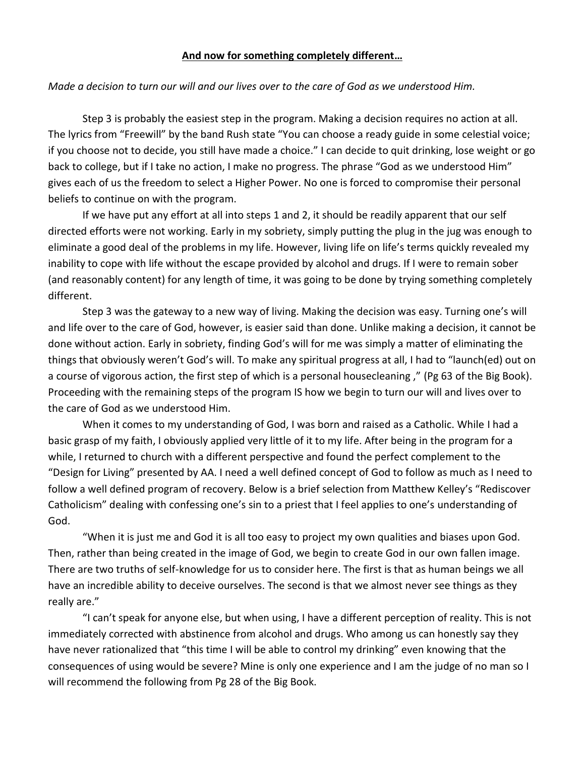## **And now for something completely different…**

## *Made a decision to turn our will and our lives over to the care of God as we understood Him.*

Step 3 is probably the easiest step in the program. Making a decision requires no action at all. The lyrics from "Freewill" by the band Rush state "You can choose a ready guide in some celestial voice; if you choose not to decide, you still have made a choice." I can decide to quit drinking, lose weight or go back to college, but if I take no action, I make no progress. The phrase "God as we understood Him" gives each of us the freedom to select a Higher Power. No one is forced to compromise their personal beliefs to continue on with the program.

If we have put any effort at all into steps 1 and 2, it should be readily apparent that our self directed efforts were not working. Early in my sobriety, simply putting the plug in the jug was enough to eliminate a good deal of the problems in my life. However, living life on life's terms quickly revealed my inability to cope with life without the escape provided by alcohol and drugs. If I were to remain sober (and reasonably content) for any length of time, it was going to be done by trying something completely different.

Step 3 was the gateway to a new way of living. Making the decision was easy. Turning one's will and life over to the care of God, however, is easier said than done. Unlike making a decision, it cannot be done without action. Early in sobriety, finding God's will for me was simply a matter of eliminating the things that obviously weren't God's will. To make any spiritual progress at all, I had to "launch(ed) out on a course of vigorous action, the first step of which is a personal housecleaning ," (Pg 63 of the Big Book). Proceeding with the remaining steps of the program IS how we begin to turn our will and lives over to the care of God as we understood Him.

When it comes to my understanding of God, I was born and raised as a Catholic. While I had a basic grasp of my faith, I obviously applied very little of it to my life. After being in the program for a while, I returned to church with a different perspective and found the perfect complement to the "Design for Living" presented by AA. I need a well defined concept of God to follow as much as I need to follow a well defined program of recovery. Below is a brief selection from Matthew Kelley's "Rediscover Catholicism" dealing with confessing one's sin to a priest that I feel applies to one's understanding of God.

"When it is just me and God it is all too easy to project my own qualities and biases upon God. Then, rather than being created in the image of God, we begin to create God in our own fallen image. There are two truths of self-knowledge for us to consider here. The first is that as human beings we all have an incredible ability to deceive ourselves. The second is that we almost never see things as they really are."

"I can't speak for anyone else, but when using, I have a different perception of reality. This is not immediately corrected with abstinence from alcohol and drugs. Who among us can honestly say they have never rationalized that "this time I will be able to control my drinking" even knowing that the consequences of using would be severe? Mine is only one experience and I am the judge of no man so I will recommend the following from Pg 28 of the Big Book.